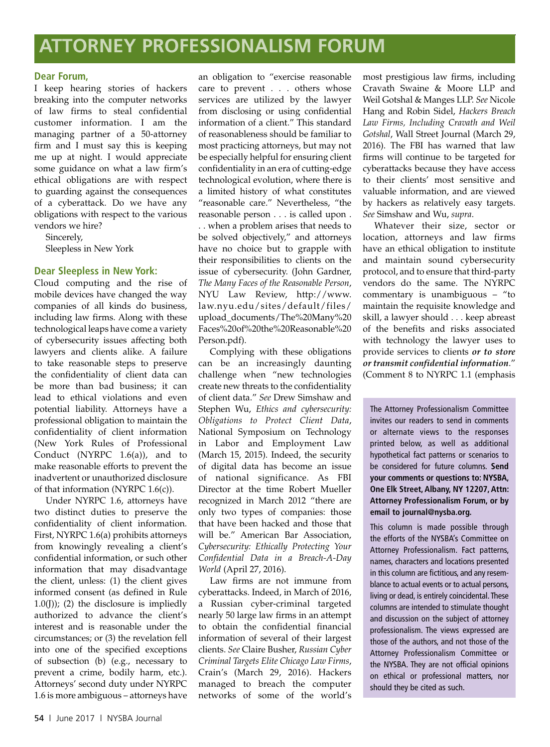# **ATTORNEY PROFESSIONALISM FORUM**

#### **Dear Forum,**

I keep hearing stories of hackers breaking into the computer networks of law firms to steal confidential customer information. I am the managing partner of a 50-attorney firm and I must say this is keeping me up at night. I would appreciate some guidance on what a law firm's ethical obligations are with respect to guarding against the consequences of a cyberattack. Do we have any obligations with respect to the various vendors we hire?

Sincerely, Sleepless in New York

#### **Dear Sleepless in New York:**

Cloud computing and the rise of mobile devices have changed the way companies of all kinds do business, including law firms. Along with these technological leaps have come a variety of cybersecurity issues affecting both lawyers and clients alike. A failure to take reasonable steps to preserve the confidentiality of client data can be more than bad business; it can lead to ethical violations and even potential liability. Attorneys have a professional obligation to maintain the confidentiality of client information (New York Rules of Professional Conduct (NYRPC 1.6(a)), and to make reasonable efforts to prevent the inadvertent or unauthorized disclosure of that information (NYRPC 1.6(c)).

Under NYRPC 1.6, attorneys have two distinct duties to preserve the confidentiality of client information. First, NYRPC 1.6(a) prohibits attorneys from knowingly revealing a client's confidential information, or such other information that may disadvantage the client, unless: (1) the client gives informed consent (as defined in Rule  $1.0(I)$ ; (2) the disclosure is impliedly authorized to advance the client's interest and is reasonable under the circumstances; or (3) the revelation fell into one of the specified exceptions of subsection (b) (e.g., necessary to prevent a crime, bodily harm, etc.). Attorneys' second duty under NYRPC 1.6 is more ambiguous – attorneys have an obligation to "exercise reasonable care to prevent . . . others whose services are utilized by the lawyer from disclosing or using confidential information of a client." This standard of reasonableness should be familiar to most practicing attorneys, but may not be especially helpful for ensuring client confidentiality in an era of cutting-edge technological evolution, where there is a limited history of what constitutes "reasonable care." Nevertheless, "the reasonable person . . . is called upon . . . when a problem arises that needs to be solved objectively," and attorneys have no choice but to grapple with their responsibilities to clients on the issue of cybersecurity. (John Gardner, *The Many Faces of the Reasonable Person*, NYU Law Review, http://www. law.nyu.edu/sites/default/files/ upload\_documents/The%20Many%20 Faces%20of%20the%20Reasonable%20 Person.pdf).

Complying with these obligations can be an increasingly daunting challenge when "new technologies create new threats to the confidentiality of client data." *See* Drew Simshaw and Stephen Wu, *Ethics and cybersecurity: Obligations to Protect Client Data*, National Symposium on Technology in Labor and Employment Law (March 15, 2015). Indeed, the security of digital data has become an issue of national significance. As FBI Director at the time Robert Mueller recognized in March 2012 "there are only two types of companies: those that have been hacked and those that will be." American Bar Association, *Cybersecurity: Ethically Protecting Your Confidential Data in a Breach-A-Day World* (April 27, 2016).

Law firms are not immune from cyberattacks. Indeed, in March of 2016, a Russian cyber-criminal targeted nearly 50 large law firms in an attempt to obtain the confidential financial information of several of their largest clients. *See* Claire Busher, *Russian Cyber Criminal Targets Elite Chicago Law Firms*, Crain's (March 29, 2016). Hackers managed to breach the computer networks of some of the world's most prestigious law firms, including Cravath Swaine & Moore LLP and Weil Gotshal & Manges LLP. *See* Nicole Hang and Robin Sidel, *Hackers Breach Law Firms, Including Cravath and Weil Gotshal*, Wall Street Journal (March 29, 2016). The FBI has warned that law firms will continue to be targeted for cyberattacks because they have access to their clients' most sensitive and valuable information, and are viewed by hackers as relatively easy targets. *See* Simshaw and Wu, *supra*.

Whatever their size, sector or location, attorneys and law firms have an ethical obligation to institute and maintain sound cybersecurity protocol, and to ensure that third-party vendors do the same. The NYRPC commentary is unambiguous – "to maintain the requisite knowledge and skill, a lawyer should . . . keep abreast of the benefits and risks associated with technology the lawyer uses to provide services to clients *or to store or transmit confidential information*." (Comment 8 to NYRPC 1.1 (emphasis

The Attorney Professionalism Committee invites our readers to send in comments or alternate views to the responses printed below, as well as additional hypothetical fact patterns or scenarios to be considered for future columns. **Send your comments or questions to: NYSBA, One Elk Street, Albany, NY 12207, Attn: Attorney Professionalism Forum, or by email to journal@nysba.org.** 

This column is made possible through the efforts of the NYSBA's Committee on Attorney Professionalism. Fact patterns, names, characters and locations presented in this column are fictitious, and any resemblance to actual events or to actual persons, living or dead, is entirely coincidental. These columns are intended to stimulate thought and discussion on the subject of attorney professionalism. The views expressed are those of the authors, and not those of the Attorney Professionalism Committee or the NYSBA. They are not official opinions on ethical or professional matters, nor should they be cited as such.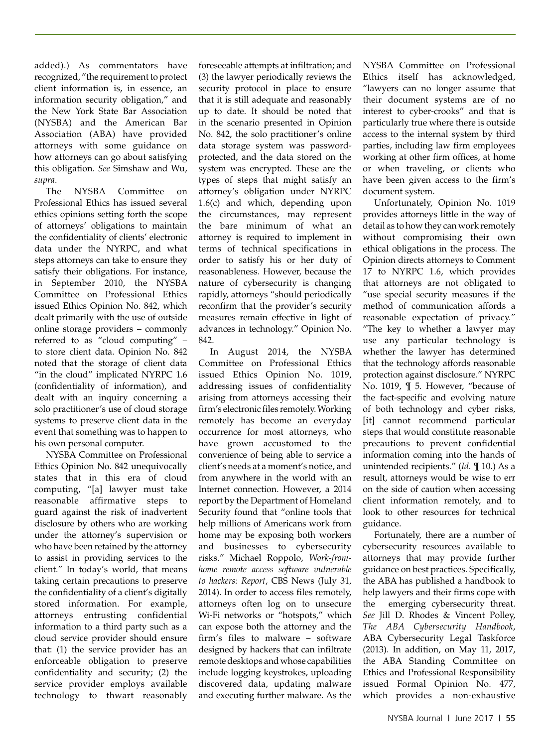added).) As commentators have recognized, "the requirement to protect client information is, in essence, an information security obligation," and the New York State Bar Association (NYSBA) and the American Bar Association (ABA) have provided attorneys with some guidance on how attorneys can go about satisfying this obligation. *See* Simshaw and Wu, *supra*.

The NYSBA Committee on Professional Ethics has issued several ethics opinions setting forth the scope of attorneys' obligations to maintain the confidentiality of clients' electronic data under the NYRPC, and what steps attorneys can take to ensure they satisfy their obligations. For instance, in September 2010, the NYSBA Committee on Professional Ethics issued Ethics Opinion No. 842, which dealt primarily with the use of outside online storage providers – commonly referred to as "cloud computing" – to store client data. Opinion No. 842 noted that the storage of client data "in the cloud" implicated NYRPC 1.6 (confidentiality of information), and dealt with an inquiry concerning a solo practitioner's use of cloud storage systems to preserve client data in the event that something was to happen to his own personal computer.

NYSBA Committee on Professional Ethics Opinion No. 842 unequivocally states that in this era of cloud computing, "[a] lawyer must take reasonable affirmative steps to guard against the risk of inadvertent disclosure by others who are working under the attorney's supervision or who have been retained by the attorney to assist in providing services to the client." In today's world, that means taking certain precautions to preserve the confidentiality of a client's digitally stored information. For example, attorneys entrusting confidential information to a third party such as a cloud service provider should ensure that: (1) the service provider has an enforceable obligation to preserve confidentiality and security; (2) the service provider employs available technology to thwart reasonably foreseeable attempts at infiltration; and (3) the lawyer periodically reviews the security protocol in place to ensure that it is still adequate and reasonably up to date. It should be noted that in the scenario presented in Opinion No. 842, the solo practitioner's online data storage system was passwordprotected, and the data stored on the system was encrypted. These are the types of steps that might satisfy an attorney's obligation under NYRPC 1.6(c) and which, depending upon the circumstances, may represent the bare minimum of what an attorney is required to implement in terms of technical specifications in order to satisfy his or her duty of reasonableness. However, because the nature of cybersecurity is changing rapidly, attorneys "should periodically reconfirm that the provider's security measures remain effective in light of advances in technology." Opinion No. 842.

In August 2014, the NYSBA Committee on Professional Ethics issued Ethics Opinion No. 1019, addressing issues of confidentiality arising from attorneys accessing their firm's electronic files remotely. Working remotely has become an everyday occurrence for most attorneys, who have grown accustomed to the convenience of being able to service a client's needs at a moment's notice, and from anywhere in the world with an Internet connection. However, a 2014 report by the Department of Homeland Security found that "online tools that help millions of Americans work from home may be exposing both workers and businesses to cybersecurity risks." Michael Roppolo, *Work-fromhome remote access software vulnerable to hackers: Report*, CBS News (July 31, 2014). In order to access files remotely, attorneys often log on to unsecure Wi-Fi networks or "hotspots," which can expose both the attorney and the firm's files to malware – software designed by hackers that can infiltrate remote desktops and whose capabilities include logging keystrokes, uploading discovered data, updating malware and executing further malware. As the NYSBA Committee on Professional Ethics itself has acknowledged, "lawyers can no longer assume that their document systems are of no interest to cyber-crooks" and that is particularly true where there is outside access to the internal system by third parties, including law firm employees working at other firm offices, at home or when traveling, or clients who have been given access to the firm's document system.

Unfortunately, Opinion No. 1019 provides attorneys little in the way of detail as to how they can work remotely without compromising their own ethical obligations in the process. The Opinion directs attorneys to Comment 17 to NYRPC 1.6, which provides that attorneys are not obligated to "use special security measures if the method of communication affords a reasonable expectation of privacy." "The key to whether a lawyer may use any particular technology is whether the lawyer has determined that the technology affords reasonable protection against disclosure." NYRPC No. 1019, ¶ 5. However, "because of the fact-specific and evolving nature of both technology and cyber risks, [it] cannot recommend particular steps that would constitute reasonable precautions to prevent confidential information coming into the hands of unintended recipients." (*Id.* ¶ 10.) As a result, attorneys would be wise to err on the side of caution when accessing client information remotely, and to look to other resources for technical guidance.

Fortunately, there are a number of cybersecurity resources available to attorneys that may provide further guidance on best practices. Specifically, the ABA has published a handbook to help lawyers and their firms cope with the emerging cybersecurity threat. *See* Jill D. Rhodes & Vincent Polley, *The ABA Cybersecurity Handbook*, ABA Cybersecurity Legal Taskforce (2013). In addition, on May 11, 2017, the ABA Standing Committee on Ethics and Professional Responsibility issued Formal Opinion No. 477, which provides a non-exhaustive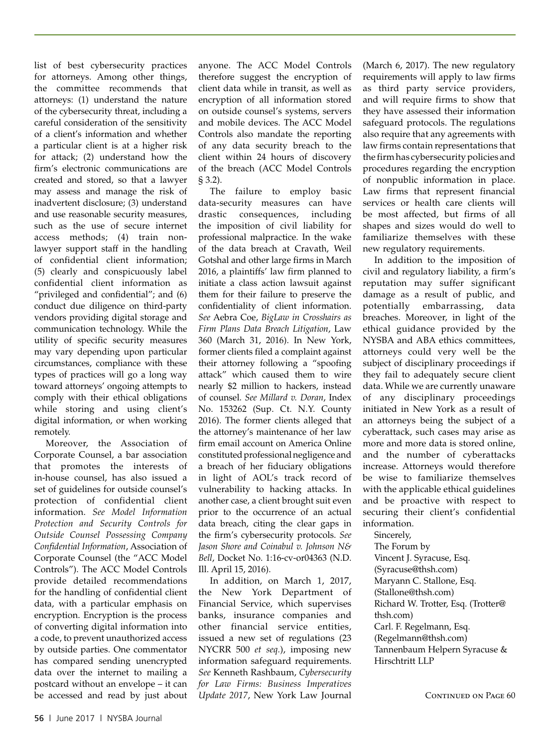list of best cybersecurity practices for attorneys. Among other things, the committee recommends that attorneys: (1) understand the nature of the cybersecurity threat, including a careful consideration of the sensitivity of a client's information and whether a particular client is at a higher risk for attack; (2) understand how the firm's electronic communications are created and stored, so that a lawyer may assess and manage the risk of inadvertent disclosure; (3) understand and use reasonable security measures, such as the use of secure internet access methods; (4) train nonlawyer support staff in the handling of confidential client information; (5) clearly and conspicuously label confidential client information as "privileged and confidential"; and (6) conduct due diligence on third-party vendors providing digital storage and communication technology. While the utility of specific security measures may vary depending upon particular circumstances, compliance with these types of practices will go a long way toward attorneys' ongoing attempts to comply with their ethical obligations while storing and using client's digital information, or when working remotely.

Moreover, the Association of Corporate Counsel, a bar association that promotes the interests of in-house counsel, has also issued a set of guidelines for outside counsel's protection of confidential client information. *See Model Information Protection and Security Controls for Outside Counsel Possessing Company Confidential Information*, Association of Corporate Counsel (the "ACC Model Controls"). The ACC Model Controls provide detailed recommendations for the handling of confidential client data, with a particular emphasis on encryption. Encryption is the process of converting digital information into a code, to prevent unauthorized access by outside parties. One commentator has compared sending unencrypted data over the internet to mailing a postcard without an envelope – it can

anyone. The ACC Model Controls therefore suggest the encryption of client data while in transit, as well as encryption of all information stored on outside counsel's systems, servers and mobile devices. The ACC Model Controls also mandate the reporting of any data security breach to the client within 24 hours of discovery of the breach (ACC Model Controls § 3.2).

The failure to employ basic data-security measures can have drastic consequences, including the imposition of civil liability for professional malpractice. In the wake of the data breach at Cravath, Weil Gotshal and other large firms in March 2016, a plaintiffs' law firm planned to initiate a class action lawsuit against them for their failure to preserve the confidentiality of client information. *See* Aebra Coe, *BigLaw in Crosshairs as Firm Plans Data Breach Litigation*, Law 360 (March 31, 2016). In New York, former clients filed a complaint against their attorney following a "spoofing attack" which caused them to wire nearly \$2 million to hackers, instead of counsel. *See Millard v. Doran*, Index No. 153262 (Sup. Ct. N.Y. County 2016). The former clients alleged that the attorney's maintenance of her law firm email account on America Online constituted professional negligence and a breach of her fiduciary obligations in light of AOL's track record of vulnerability to hacking attacks. In another case, a client brought suit even prior to the occurrence of an actual data breach, citing the clear gaps in the firm's cybersecurity protocols. *See Jason Shore and Coinabul v. Johnson N& Bell*, Docket No. 1:16-cv-or04363 (N.D. Ill. April 15, 2016).

In addition, on March 1, 2017, the New York Department of Financial Service, which supervises banks, insurance companies and other financial service entities, issued a new set of regulations (23 NYCRR 500 *et seq.*), imposing new information safeguard requirements. *See* Kenneth Rashbaum, *Cybersecurity for Law Firms: Business Imperatives*  be accessed and read by just about *Update 2017*, New York Law Journal **Example 2017** Continued on Page 60

(March 6, 2017). The new regulatory requirements will apply to law firms as third party service providers, and will require firms to show that they have assessed their information safeguard protocols. The regulations also require that any agreements with law firms contain representations that the firm has cybersecurity policies and procedures regarding the encryption of nonpublic information in place. Law firms that represent financial services or health care clients will be most affected, but firms of all shapes and sizes would do well to familiarize themselves with these new regulatory requirements.

In addition to the imposition of civil and regulatory liability, a firm's reputation may suffer significant damage as a result of public, and potentially embarrassing, data breaches. Moreover, in light of the ethical guidance provided by the NYSBA and ABA ethics committees, attorneys could very well be the subject of disciplinary proceedings if they fail to adequately secure client data. While we are currently unaware of any disciplinary proceedings initiated in New York as a result of an attorneys being the subject of a cyberattack, such cases may arise as more and more data is stored online, and the number of cyberattacks increase. Attorneys would therefore be wise to familiarize themselves with the applicable ethical guidelines and be proactive with respect to securing their client's confidential information.

Sincerely, The Forum by Vincent J. Syracuse, Esq. (Syracuse@thsh.com) Maryann C. Stallone, Esq. (Stallone@thsh.com) Richard W. Trotter, Esq. (Trotter@ thsh.com) Carl. F. Regelmann, Esq. (Regelmann@thsh.com) Tannenbaum Helpern Syracuse & Hirschtritt LLP